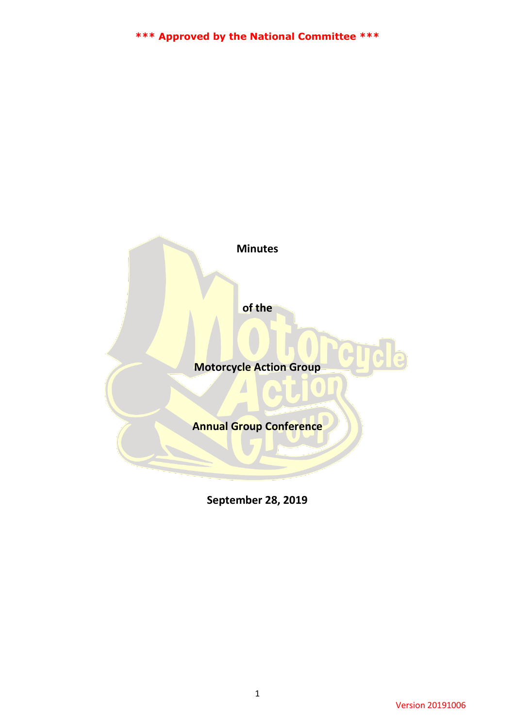**Minutes**

**of the**

**Motorcycle Action Group**

**Annual Group Conference**

**September 28, 2019**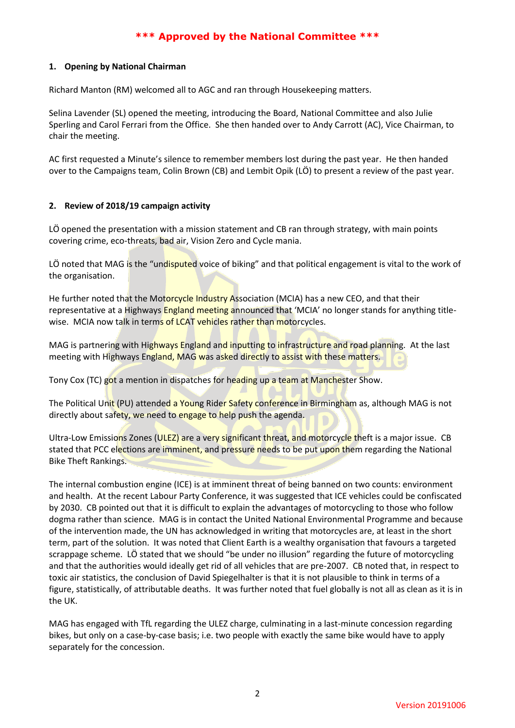## **1. Opening by National Chairman**

Richard Manton (RM) welcomed all to AGC and ran through Housekeeping matters.

Selina Lavender (SL) opened the meeting, introducing the Board, National Committee and also Julie Sperling and Carol Ferrari from the Office. She then handed over to Andy Carrott (AC), Vice Chairman, to chair the meeting.

AC first requested a Minute's silence to remember members lost during the past year. He then handed over to the Campaigns team, Colin Brown (CB) and Lembit Opik (LÖ) to present a review of the past year.

# **2. Review of 2018/19 campaign activity**

LÖ opened the presentation with a mission statement and CB ran through strategy, with main points covering crime, eco-threats, bad air, Vision Zero and Cycle mania.

LÖ noted that MAG is the "undisputed voice of biking" and that political engagement is vital to the work of the organisation.

He further noted that the Motorcycle Industry Association (MCIA) has a new CEO, and that their representative at a Highways England meeting announced that 'MCIA' no longer stands for anything titlewise. MCIA now talk in terms of LCAT vehicles rather than motorcycles.

MAG is partnering with Highways England and inputting to infrastructure and road planning. At the last meeting with Highways England, MAG was asked directly to assist with these matters.

Tony Cox (TC) got a mention in dispatches for heading up a team at Manchester Show.

The Political Unit (PU) attended a Young Rider Safety conference in Birmingham as, although MAG is not directly about safety, we need to engage to help push the agenda.

Ultra-Low Emissions Zones (ULEZ) are a very significant threat, and motorcycle theft is a major issue. CB stated that PCC elections are imminent, and pressure needs to be put upon them regarding the National Bike Theft Rankings.

The internal combustion engine (ICE) is at imminent threat of being banned on two counts: environment and health. At the recent Labour Party Conference, it was suggested that ICE vehicles could be confiscated by 2030. CB pointed out that it is difficult to explain the advantages of motorcycling to those who follow dogma rather than science. MAG is in contact the United National Environmental Programme and because of the intervention made, the UN has acknowledged in writing that motorcycles are, at least in the short term, part of the solution. It was noted that Client Earth is a wealthy organisation that favours a targeted scrappage scheme. LÖ stated that we should "be under no illusion" regarding the future of motorcycling and that the authorities would ideally get rid of all vehicles that are pre-2007. CB noted that, in respect to toxic air statistics, the conclusion of David Spiegelhalter is that it is not plausible to think in terms of a figure, statistically, of attributable deaths. It was further noted that fuel globally is not all as clean as it is in the UK.

MAG has engaged with TfL regarding the ULEZ charge, culminating in a last-minute concession regarding bikes, but only on a case-by-case basis; i.e. two people with exactly the same bike would have to apply separately for the concession.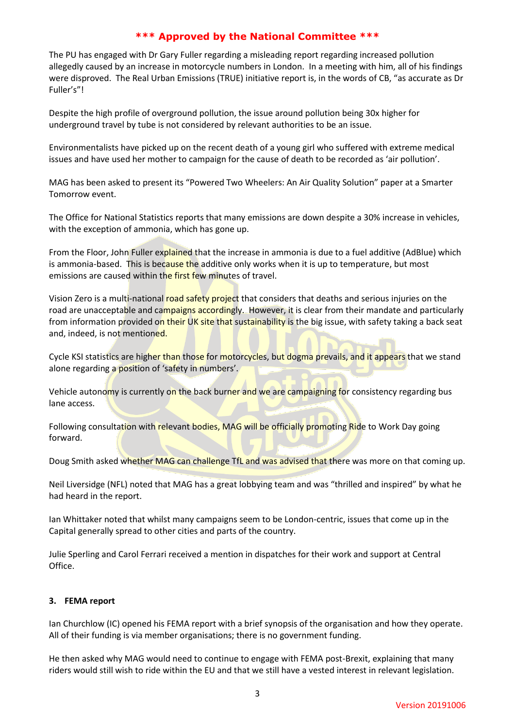The PU has engaged with Dr Gary Fuller regarding a misleading report regarding increased pollution allegedly caused by an increase in motorcycle numbers in London. In a meeting with him, all of his findings were disproved. The Real Urban Emissions (TRUE) initiative report is, in the words of CB, "as accurate as Dr Fuller's"!

Despite the high profile of overground pollution, the issue around pollution being 30x higher for underground travel by tube is not considered by relevant authorities to be an issue.

Environmentalists have picked up on the recent death of a young girl who suffered with extreme medical issues and have used her mother to campaign for the cause of death to be recorded as 'air pollution'.

MAG has been asked to present its "Powered Two Wheelers: An Air Quality Solution" paper at a Smarter Tomorrow event.

The Office for National Statistics reports that many emissions are down despite a 30% increase in vehicles, with the exception of ammonia, which has gone up.

From the Floor, John Fuller explained that the increase in ammonia is due to a fuel additive (AdBlue) which is ammonia-based. This is because the additive only works when it is up to temperature, but most emissions are caused within the first few minutes of travel.

Vision Zero is a multi-national road safety project that considers that deaths and serious injuries on the road are unacceptable and campaigns accordingly. However, it is clear from their mandate and particularly from information provided on their UK site that sustainability is the big issue, with safety taking a back seat and, indeed, is not mentioned.

Cycle KSI statistics are higher than those for motorcycles, but dogma prevails, and it appears that we stand alone regarding a position of 'safety in numbers'.

Vehicle autonomy is currently on the back burner and we are campaigning for consistency regarding bus lane access.

Following consultation with relevant bodies, MAG will be officially promoting Ride to Work Day going forward.

Doug Smith asked whether MAG can challenge TfL and was advised that there was more on that coming up.

Neil Liversidge (NFL) noted that MAG has a great lobbying team and was "thrilled and inspired" by what he had heard in the report.

Ian Whittaker noted that whilst many campaigns seem to be London-centric, issues that come up in the Capital generally spread to other cities and parts of the country.

Julie Sperling and Carol Ferrari received a mention in dispatches for their work and support at Central Office.

# **3. FEMA report**

Ian Churchlow (IC) opened his FEMA report with a brief synopsis of the organisation and how they operate. All of their funding is via member organisations; there is no government funding.

He then asked why MAG would need to continue to engage with FEMA post-Brexit, explaining that many riders would still wish to ride within the EU and that we still have a vested interest in relevant legislation.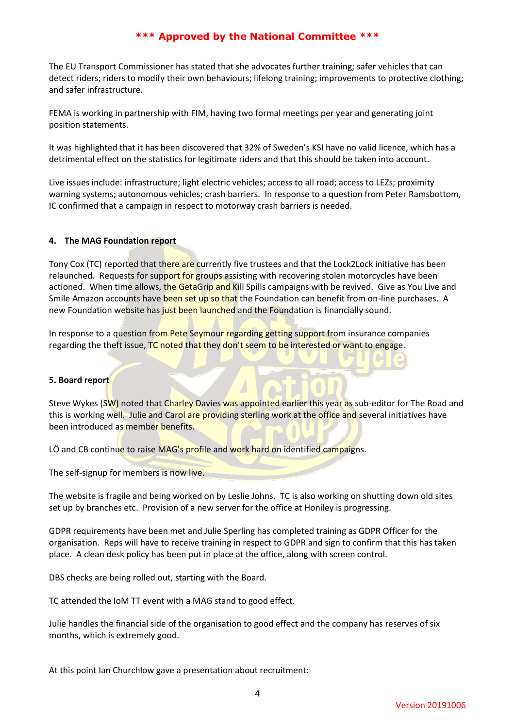The EU Transport Commissioner has stated that she advocates further training; safer vehicles that can detect riders; riders to modify their own behaviours; lifelong training; improvements to protective clothing; and safer infrastructure.

FEMA is working in partnership with FIM, having two formal meetings per year and generating joint position statements.

It was highlighted that it has been discovered that 32% of Sweden's KSI have no valid licence, which has a detrimental effect on the statistics for legitimate riders and that this should be taken into account.

Live issues include: infrastructure; light electric vehicles; access to all road; access to LEZs; proximity warning systems; autonomous vehicles; crash barriers. In response to a question from Peter Ramsbottom, IC confirmed that a campaign in respect to motorway crash barriers is needed.

# **4. The MAG Foundation report**

Tony Cox (TC) reported that there are currently five trustees and that the Lock2Lock initiative has been relaunched. Requests for support for groups assisting with recovering stolen motorcycles have been actioned. When time allows, the GetaGrip and Kill Spills campaigns with be revived. Give as You Live and Smile Amazon accounts have been set up so that the Foundation can benefit from on-line purchases. A new Foundation website has just been launched and the Foundation is financially sound.

In response to a question from Pete Seymour regarding getting support from insurance companies regarding the theft issue, TC noted that they don't seem to be interested or want to engage.

## **5. Board report**

Steve Wykes (SW) noted that Charley Davies was appointed earlier this year as sub-editor for The Road and this is working well. Julie and Carol are providing sterling work at the office and several initiatives have been introduced as member benefits.

LÖ and CB continue to raise MAG's profile and work hard on identified campaigns.

The self-signup for members is now live.

The website is fragile and being worked on by Leslie Johns. TC is also working on shutting down old sites set up by branches etc. Provision of a new server for the office at Honiley is progressing.

GDPR requirements have been met and Julie Sperling has completed training as GDPR Officer for the organisation. Reps will have to receive training in respect to GDPR and sign to confirm that this has taken place. A clean desk policy has been put in place at the office, along with screen control.

DBS checks are being rolled out, starting with the Board.

TC attended the IoM TT event with a MAG stand to good effect.

Julie handles the financial side of the organisation to good effect and the company has reserves of six months, which is extremely good.

At this point Ian Churchlow gave a presentation about recruitment: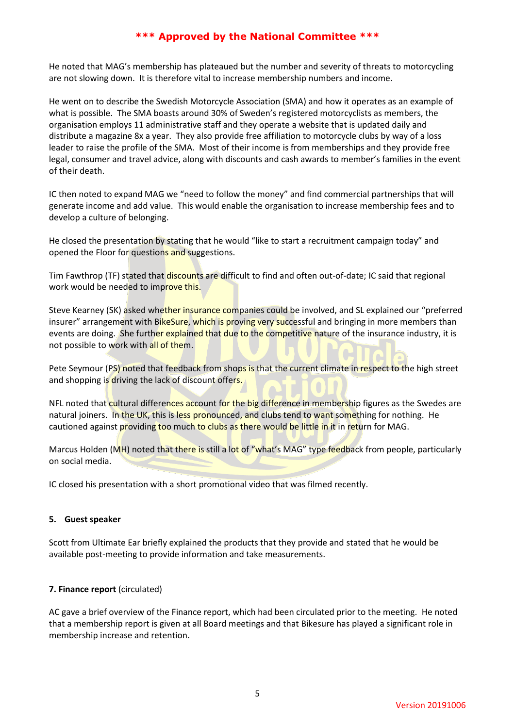He noted that MAG's membership has plateaued but the number and severity of threats to motorcycling are not slowing down. It is therefore vital to increase membership numbers and income.

He went on to describe the Swedish Motorcycle Association (SMA) and how it operates as an example of what is possible. The SMA boasts around 30% of Sweden's registered motorcyclists as members, the organisation employs 11 administrative staff and they operate a website that is updated daily and distribute a magazine 8x a year. They also provide free affiliation to motorcycle clubs by way of a loss leader to raise the profile of the SMA. Most of their income is from memberships and they provide free legal, consumer and travel advice, along with discounts and cash awards to member's families in the event of their death.

IC then noted to expand MAG we "need to follow the money" and find commercial partnerships that will generate income and add value. This would enable the organisation to increase membership fees and to develop a culture of belonging.

He closed the presentation by stating that he would "like to start a recruitment campaign today" and opened the Floor for questions and suggestions.

Tim Fawthrop (TF) stated that discounts are difficult to find and often out-of-date; IC said that regional work would be needed to improve this.

Steve Kearney (SK) asked whether insurance companies could be involved, and SL explained our "preferred insurer" arrangement with BikeSure, which is proving very successful and bringing in more members than events are doing. She further explained that due to the competitive nature of the insurance industry, it is not possible to work with all of them.

Pete Seymour (PS) noted that feedback from shops is that the current climate in respect to the high street and shopping is driving the lack of discount offers.

NFL noted that cultural differences account for the big difference in membership figures as the Swedes are natural joiners. In the UK, this is less pronounced, and clubs tend to want something for nothing. He cautioned against providing too much to clubs as there would be little in it in return for MAG.

Marcus Holden (MH) noted that there is still a lot of "what's MAG" type feedback from people, particularly on social media.

IC closed his presentation with a short promotional video that was filmed recently.

## **5. Guest speaker**

Scott from Ultimate Ear briefly explained the products that they provide and stated that he would be available post-meeting to provide information and take measurements.

## **7. Finance report** (circulated)

AC gave a brief overview of the Finance report, which had been circulated prior to the meeting. He noted that a membership report is given at all Board meetings and that Bikesure has played a significant role in membership increase and retention.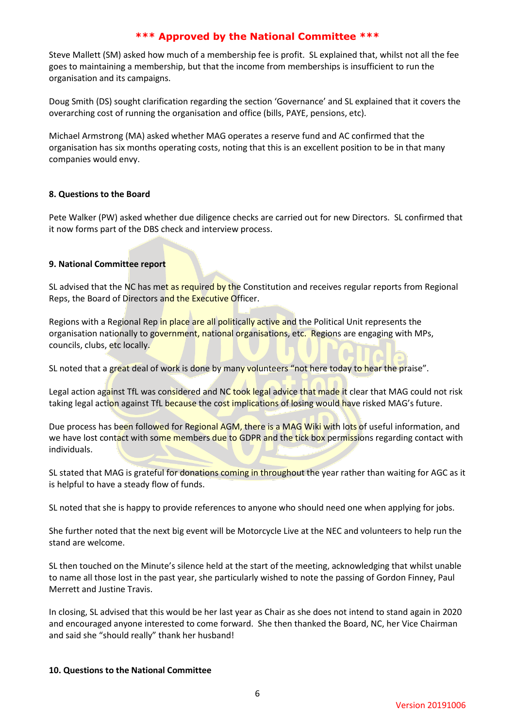Steve Mallett (SM) asked how much of a membership fee is profit. SL explained that, whilst not all the fee goes to maintaining a membership, but that the income from memberships is insufficient to run the organisation and its campaigns.

Doug Smith (DS) sought clarification regarding the section 'Governance' and SL explained that it covers the overarching cost of running the organisation and office (bills, PAYE, pensions, etc).

Michael Armstrong (MA) asked whether MAG operates a reserve fund and AC confirmed that the organisation has six months operating costs, noting that this is an excellent position to be in that many companies would envy.

# **8. Questions to the Board**

Pete Walker (PW) asked whether due diligence checks are carried out for new Directors. SL confirmed that it now forms part of the DBS check and interview process.

# **9. National Committee report**

SL advised that the NC has met as required by the Constitution and receives regular reports from Regional Reps, the Board of Directors and the Executive Officer.

Regions with a Regional Rep in place are all politically active and the Political Unit represents the organisation nationally to government, national organisations, etc. Regions are engaging with MPs, councils, clubs, etc locally.

SL noted that a great deal of work is done by many volunteers "not here today to hear the praise".

Legal action against TfL was considered and NC took legal advice that made it clear that MAG could not risk taking legal action against TfL because the cost implications of losing would have risked MAG's future.

Due process has been followed for Regional AGM, there is a MAG Wiki with lots of useful information, and we have lost contact with some members due to GDPR and the tick box permissions regarding contact with individuals.

SL stated that MAG is grateful for donations coming in throughout the year rather than waiting for AGC as it is helpful to have a steady flow of funds.

SL noted that she is happy to provide references to anyone who should need one when applying for jobs.

She further noted that the next big event will be Motorcycle Live at the NEC and volunteers to help run the stand are welcome.

SL then touched on the Minute's silence held at the start of the meeting, acknowledging that whilst unable to name all those lost in the past year, she particularly wished to note the passing of Gordon Finney, Paul Merrett and Justine Travis.

In closing, SL advised that this would be her last year as Chair as she does not intend to stand again in 2020 and encouraged anyone interested to come forward. She then thanked the Board, NC, her Vice Chairman and said she "should really" thank her husband!

## **10. Questions to the National Committee**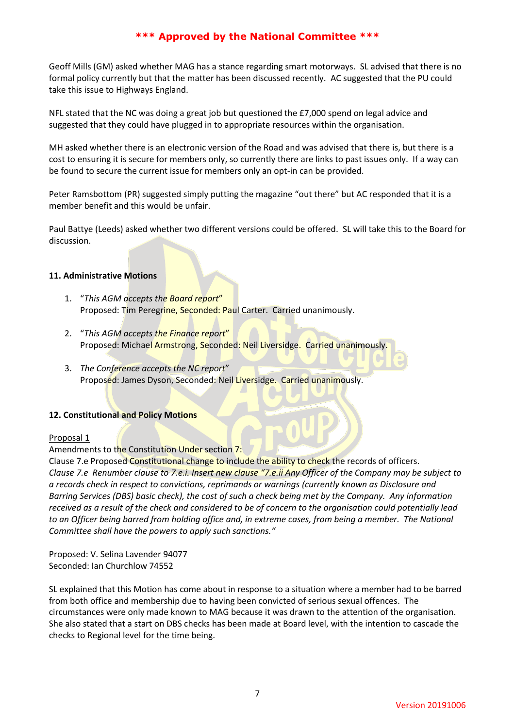Geoff Mills (GM) asked whether MAG has a stance regarding smart motorways. SL advised that there is no formal policy currently but that the matter has been discussed recently. AC suggested that the PU could take this issue to Highways England.

NFL stated that the NC was doing a great job but questioned the £7,000 spend on legal advice and suggested that they could have plugged in to appropriate resources within the organisation.

MH asked whether there is an electronic version of the Road and was advised that there is, but there is a cost to ensuring it is secure for members only, so currently there are links to past issues only. If a way can be found to secure the current issue for members only an opt-in can be provided.

Peter Ramsbottom (PR) suggested simply putting the magazine "out there" but AC responded that it is a member benefit and this would be unfair.

Paul Battye (Leeds) asked whether two different versions could be offered. SL will take this to the Board for discussion.

## **11. Administrative Motions**

- 1. "*This AGM accepts the Board report*" Proposed: Tim Peregrine, Seconded: Paul Carter. Carried unanimously.
- 2. "*This AGM accepts the Finance report*" Proposed: Michael Armstrong, Seconded: Neil Liversidge. Carried unanimously.
- 3. *The Conference accepts the NC report*" Proposed: James Dyson, Seconded: Neil Liversidge. Carried unanimously.

# **12. Constitutional and Policy Motions**

## Proposal 1

Amendments to the Constitution Under section 7:

Clause 7.e Proposed Constitutional change to include the ability to check the records of officers. *Clause 7.e Renumber clause to 7.e.i. Insert new clause "7.e.ii Any Officer of the Company may be subject to a records check in respect to convictions, reprimands or warnings (currently known as Disclosure and Barring Services (DBS) basic check), the cost of such a check being met by the Company. Any information received as a result of the check and considered to be of concern to the organisation could potentially lead*  to an Officer being barred from holding office and, in extreme cases, from being a member. The National *Committee shall have the powers to apply such sanctions."* 

Proposed: V. Selina Lavender 94077 Seconded: Ian Churchlow 74552

SL explained that this Motion has come about in response to a situation where a member had to be barred from both office and membership due to having been convicted of serious sexual offences. The circumstances were only made known to MAG because it was drawn to the attention of the organisation. She also stated that a start on DBS checks has been made at Board level, with the intention to cascade the checks to Regional level for the time being.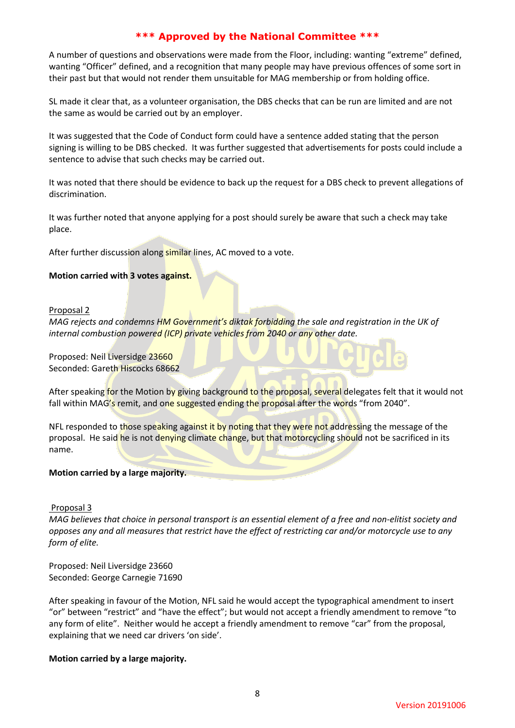A number of questions and observations were made from the Floor, including: wanting "extreme" defined, wanting "Officer" defined, and a recognition that many people may have previous offences of some sort in their past but that would not render them unsuitable for MAG membership or from holding office.

SL made it clear that, as a volunteer organisation, the DBS checks that can be run are limited and are not the same as would be carried out by an employer.

It was suggested that the Code of Conduct form could have a sentence added stating that the person signing is willing to be DBS checked. It was further suggested that advertisements for posts could include a sentence to advise that such checks may be carried out.

It was noted that there should be evidence to back up the request for a DBS check to prevent allegations of discrimination.

It was further noted that anyone applying for a post should surely be aware that such a check may take place.

After further discussion along similar lines, AC moved to a vote.

# **Motion carried with 3 votes against.**

## Proposal 2

*MAG rejects and condemns HM Government's diktak forbidding the sale and registration in the UK of internal combustion powered (ICP) private vehicles from 2040 or any other date.* 

Proposed: Neil Liversidge 23660 Seconded: Gareth Hiscocks 68662

After speaking for the Motion by giving background to the proposal, several delegates felt that it would not fall within MAG's remit, and one suggested ending the proposal after the words "from 2040".

NFL responded to those speaking against it by noting that they were not addressing the message of the proposal. He said he is not denying climate change, but that motorcycling should not be sacrificed in its name.

## **Motion carried by a large majority.**

## Proposal 3

*MAG believes that choice in personal transport is an essential element of a free and non-elitist society and opposes any and all measures that restrict have the effect of restricting car and/or motorcycle use to any form of elite.* 

Proposed: Neil Liversidge 23660 Seconded: George Carnegie 71690

After speaking in favour of the Motion, NFL said he would accept the typographical amendment to insert "or" between "restrict" and "have the effect"; but would not accept a friendly amendment to remove "to any form of elite". Neither would he accept a friendly amendment to remove "car" from the proposal, explaining that we need car drivers 'on side'.

# **Motion carried by a large majority.**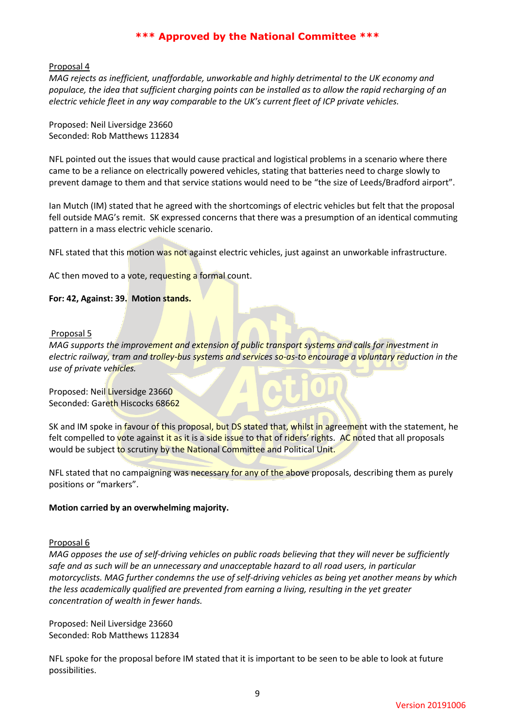#### Proposal 4

*MAG rejects as inefficient, unaffordable, unworkable and highly detrimental to the UK economy and populace, the idea that sufficient charging points can be installed as to allow the rapid recharging of an electric vehicle fleet in any way comparable to the UK's current fleet of ICP private vehicles.* 

Proposed: Neil Liversidge 23660 Seconded: Rob Matthews 112834

NFL pointed out the issues that would cause practical and logistical problems in a scenario where there came to be a reliance on electrically powered vehicles, stating that batteries need to charge slowly to prevent damage to them and that service stations would need to be "the size of Leeds/Bradford airport".

Ian Mutch (IM) stated that he agreed with the shortcomings of electric vehicles but felt that the proposal fell outside MAG's remit. SK expressed concerns that there was a presumption of an identical commuting pattern in a mass electric vehicle scenario.

NFL stated that this motion was not against electric vehicles, just against an unworkable infrastructure.

AC then moved to a vote, requesting a formal count.

#### **For: 42, Against: 39. Motion stands.**

#### Proposal 5

*MAG supports the improvement and extension of public transport systems and calls for investment in electric railway, tram and trolley-bus systems and services so-as-to encourage a voluntary reduction in the use of private vehicles.* 

Proposed: Neil Liversidge 23660 Seconded: Gareth Hiscocks 68662

SK and IM spoke in favour of this proposal, but DS stated that, whilst in agreement with the statement, he felt compelled to vote against it as it is a side issue to that of riders' rights. AC noted that all proposals would be subject to scrutiny by the National Committee and Political Unit.

NFL stated that no campaigning was necessary for any of the above proposals, describing them as purely positions or "markers".

## **Motion carried by an overwhelming majority.**

#### Proposal 6

*MAG opposes the use of self-driving vehicles on public roads believing that they will never be sufficiently safe and as such will be an unnecessary and unacceptable hazard to all road users, in particular motorcyclists. MAG further condemns the use of self-driving vehicles as being yet another means by which the less academically qualified are prevented from earning a living, resulting in the yet greater concentration of wealth in fewer hands.* 

Proposed: Neil Liversidge 23660 Seconded: Rob Matthews 112834

NFL spoke for the proposal before IM stated that it is important to be seen to be able to look at future possibilities.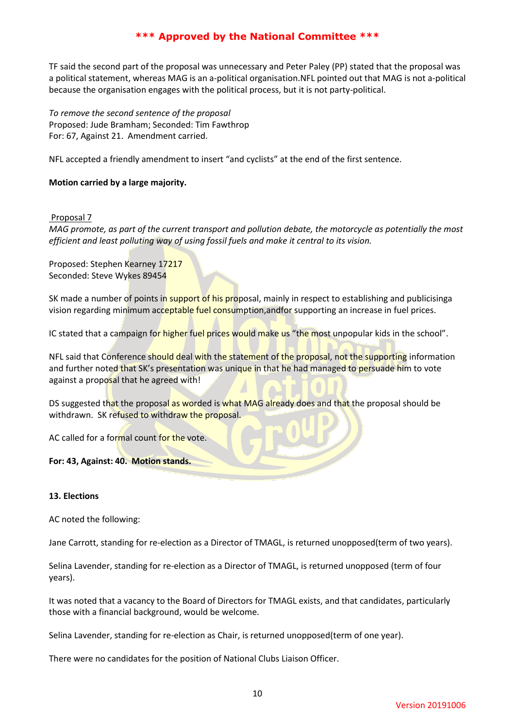TF said the second part of the proposal was unnecessary and Peter Paley (PP) stated that the proposal was a political statement, whereas MAG is an a-political organisation.NFL pointed out that MAG is not a-political because the organisation engages with the political process, but it is not party-political.

*To remove the second sentence of the proposal* Proposed: Jude Bramham; Seconded: Tim Fawthrop For: 67, Against 21. Amendment carried.

NFL accepted a friendly amendment to insert "and cyclists" at the end of the first sentence.

# **Motion carried by a large majority.**

## Proposal 7

*MAG promote, as part of the current transport and pollution debate, the motorcycle as potentially the most efficient and least polluting way of using fossil fuels and make it central to its vision.* 

Proposed: Stephen Kearney 17217 Seconded: Steve Wykes 89454

SK made a number of points in support of his proposal, mainly in respect to establishing and publicisinga vision regarding minimum acceptable fuel consumption, and for supporting an increase in fuel prices.

IC stated that a campaign for higher fuel prices would make us "the most unpopular kids in the school".

NFL said that Conference should deal with the statement of the proposal, not the supporting information and further noted that SK's presentation was unique in that he had managed to persuade him to vote against a proposal that he agreed with!

DS suggested that the proposal as worded is what MAG already does and that the proposal should be withdrawn. SK refused to withdraw the proposal.

AC called for a formal count for the vote.

# **For: 43, Against: 40. Motion stands.**

## **13. Elections**

AC noted the following:

Jane Carrott, standing for re-election as a Director of TMAGL, is returned unopposed(term of two years).

Selina Lavender, standing for re-election as a Director of TMAGL, is returned unopposed (term of four years).

It was noted that a vacancy to the Board of Directors for TMAGL exists, and that candidates, particularly those with a financial background, would be welcome.

Selina Lavender, standing for re-election as Chair, is returned unopposed(term of one year).

There were no candidates for the position of National Clubs Liaison Officer.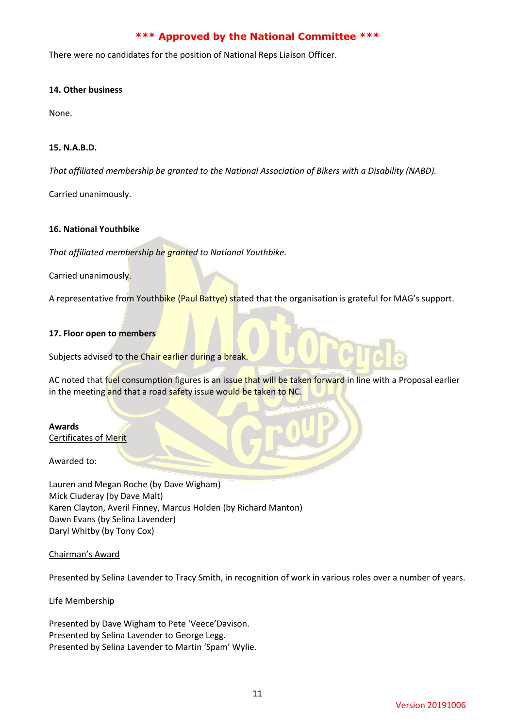There were no candidates for the position of National Reps Liaison Officer.

## **14. Other business**

None.

# **15. N.A.B.D.**

*That affiliated membership be granted to the National Association of Bikers with a Disability (NABD).*

Carried unanimously.

# **16. National Youthbike**

*That affiliated membership be granted to National Youthbike.*

Carried unanimously.

A representative from Youthbike (Paul Battye) stated that the organisation is grateful for MAG's support.

# **17. Floor open to members**

Subjects advised to the Chair earlier during a break.

AC noted that fuel consumption figures is an issue that will be taken forward in line with a Proposal earlier in the meeting and that a road safety issue would be taken to NC.

## **Awards**

Certificates of Merit

Awarded to:

Lauren and Megan Roche (by Dave Wigham) Mick Cluderay (by Dave Malt) Karen Clayton, Averil Finney, Marcus Holden (by Richard Manton) Dawn Evans (by Selina Lavender) Daryl Whitby (by Tony Cox)

## Chairman's Award

Presented by Selina Lavender to Tracy Smith, in recognition of work in various roles over a number of years.

## Life Membership

Presented by Dave Wigham to Pete 'Veece'Davison. Presented by Selina Lavender to George Legg. Presented by Selina Lavender to Martin 'Spam' Wylie.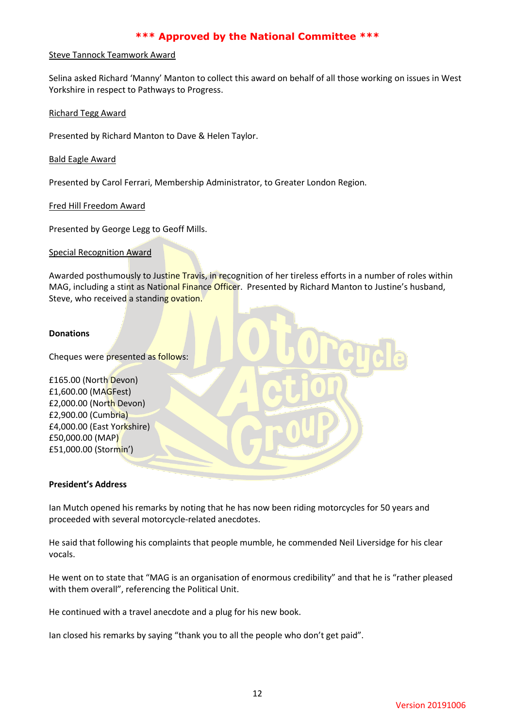#### Steve Tannock Teamwork Award

Selina asked Richard 'Manny' Manton to collect this award on behalf of all those working on issues in West Yorkshire in respect to Pathways to Progress.

Richard Tegg Award

Presented by Richard Manton to Dave & Helen Taylor.

## Bald Eagle Award

Presented by Carol Ferrari, Membership Administrator, to Greater London Region.

Fred Hill Freedom Award

Presented by George Legg to Geoff Mills.

Special Recognition Award

Awarded posthumously to Justine Travis, in recognition of her tireless efforts in a number of roles within MAG, including a stint as National Finance Officer. Presented by Richard Manton to Justine's husband, Steve, who received a standing ovation.

#### **Donations**

Cheques were presented as follows:

£165.00 (North Devon) £1,600.00 (MAGFest) £2,000.00 (North Devon) £2,900.00 (Cumbria) £4,000.00 (East Yorkshire) £50,000.00 (MAP) £51,000.00 (Stormin')

## **President's Address**

Ian Mutch opened his remarks by noting that he has now been riding motorcycles for 50 years and proceeded with several motorcycle-related anecdotes.

He said that following his complaints that people mumble, he commended Neil Liversidge for his clear vocals.

He went on to state that "MAG is an organisation of enormous credibility" and that he is "rather pleased with them overall", referencing the Political Unit.

He continued with a travel anecdote and a plug for his new book.

Ian closed his remarks by saying "thank you to all the people who don't get paid".